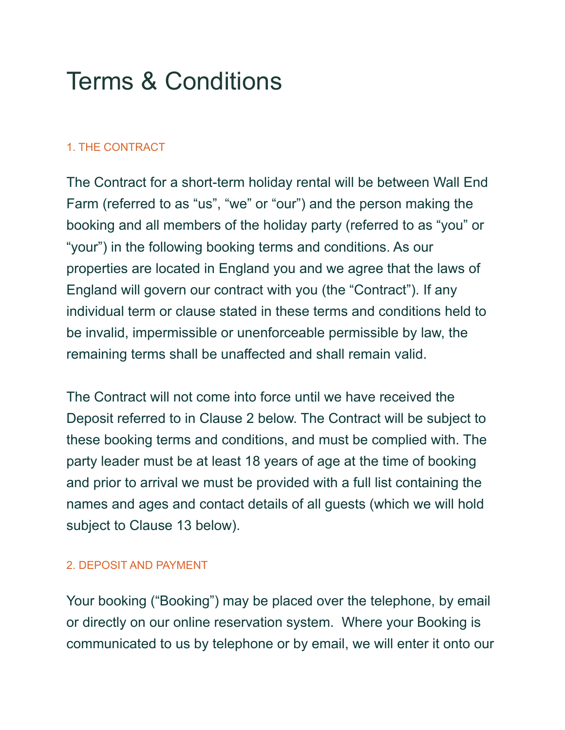# Terms & Conditions

### 1. THE CONTRACT

The Contract for a short-term holiday rental will be between Wall End Farm (referred to as "us", "we" or "our") and the person making the booking and all members of the holiday party (referred to as "you" or "your") in the following booking terms and conditions. As our properties are located in England you and we agree that the laws of England will govern our contract with you (the "Contract"). If any individual term or clause stated in these terms and conditions held to be invalid, impermissible or unenforceable permissible by law, the remaining terms shall be unaffected and shall remain valid.

The Contract will not come into force until we have received the Deposit referred to in Clause 2 below. The Contract will be subject to these booking terms and conditions, and must be complied with. The party leader must be at least 18 years of age at the time of booking and prior to arrival we must be provided with a full list containing the names and ages and contact details of all guests (which we will hold subject to Clause 13 below).

#### 2. DEPOSIT AND PAYMENT

Your booking ("Booking") may be placed over the telephone, by email or directly on our online reservation system. Where your Booking is communicated to us by telephone or by email, we will enter it onto our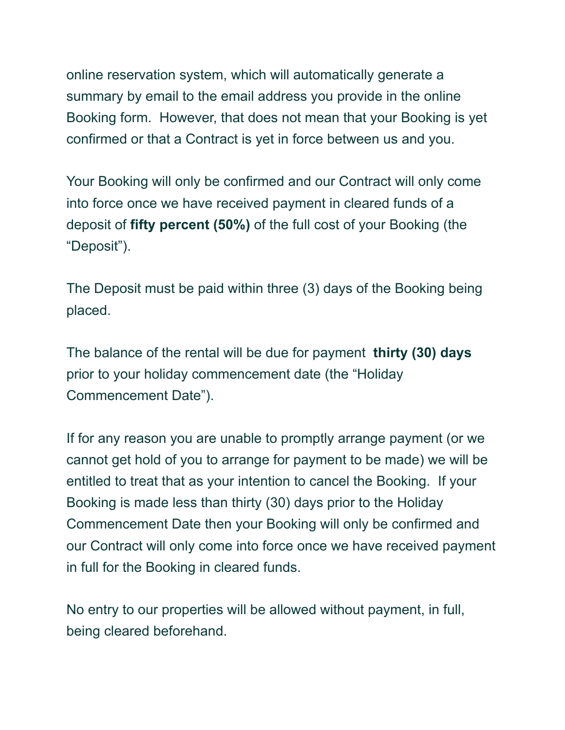online reservation system, which will automatically generate a summary by email to the email address you provide in the online Booking form. However, that does not mean that your Booking is yet confirmed or that a Contract is yet in force between us and you.

Your Booking will only be confirmed and our Contract will only come into force once we have received payment in cleared funds of a deposit of **fifty percent (50%)** of the full cost of your Booking (the "Deposit").

The Deposit must be paid within three (3) days of the Booking being placed.

The balance of the rental will be due for payment **thirty (30) days** prior to your holiday commencement date (the "Holiday Commencement Date").

If for any reason you are unable to promptly arrange payment (or we cannot get hold of you to arrange for payment to be made) we will be entitled to treat that as your intention to cancel the Booking. If your Booking is made less than thirty (30) days prior to the Holiday Commencement Date then your Booking will only be confirmed and our Contract will only come into force once we have received payment in full for the Booking in cleared funds.

No entry to our properties will be allowed without payment, in full, being cleared beforehand.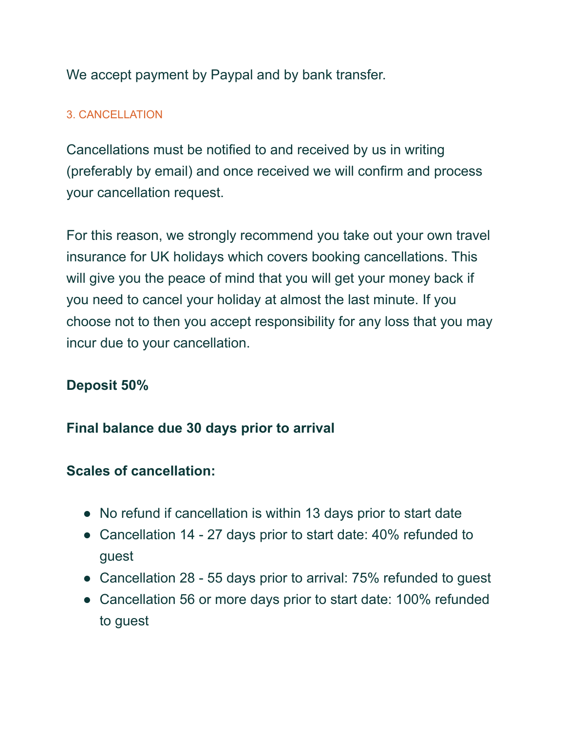We accept payment by Paypal and by bank transfer.

## 3. CANCELLATION

Cancellations must be notified to and received by us in writing (preferably by email) and once received we will confirm and process your cancellation request.

For this reason, we strongly recommend you take out your own travel insurance for UK holidays which covers booking cancellations. This will give you the peace of mind that you will get your money back if you need to cancel your holiday at almost the last minute. If you choose not to then you accept responsibility for any loss that you may incur due to your cancellation.

# **Deposit 50%**

# **Final balance due 30 days prior to arrival**

# **Scales of cancellation:**

- No refund if cancellation is within 13 days prior to start date
- Cancellation 14 27 days prior to start date: 40% refunded to guest
- Cancellation 28 55 days prior to arrival: 75% refunded to guest
- Cancellation 56 or more days prior to start date: 100% refunded to guest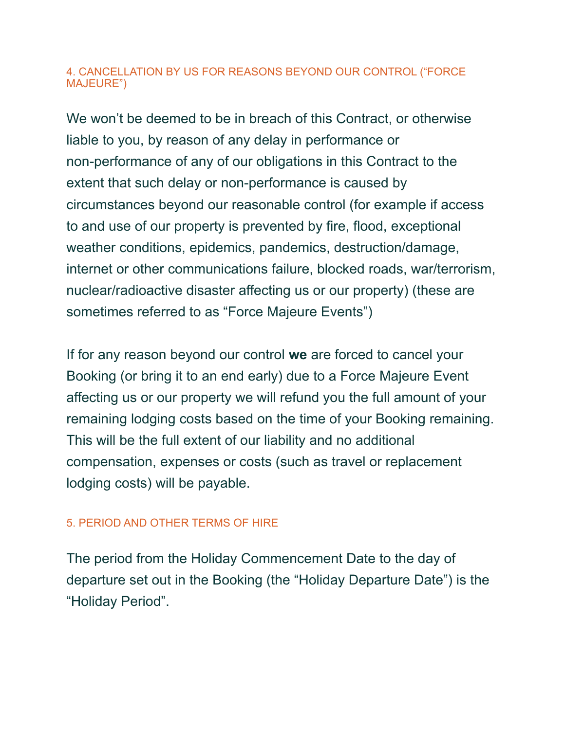#### 4. CANCELLATION BY US FOR REASONS BEYOND OUR CONTROL ("FORCE MAJEURE")

We won't be deemed to be in breach of this Contract, or otherwise liable to you, by reason of any delay in performance or non-performance of any of our obligations in this Contract to the extent that such delay or non-performance is caused by circumstances beyond our reasonable control (for example if access to and use of our property is prevented by fire, flood, exceptional weather conditions, epidemics, pandemics, destruction/damage, internet or other communications failure, blocked roads, war/terrorism, nuclear/radioactive disaster affecting us or our property) (these are sometimes referred to as "Force Majeure Events")

If for any reason beyond our control **we** are forced to cancel your Booking (or bring it to an end early) due to a Force Majeure Event affecting us or our property we will refund you the full amount of your remaining lodging costs based on the time of your Booking remaining. This will be the full extent of our liability and no additional compensation, expenses or costs (such as travel or replacement lodging costs) will be payable.

## 5. PERIOD AND OTHER TERMS OF HIRE

The period from the Holiday Commencement Date to the day of departure set out in the Booking (the "Holiday Departure Date") is the "Holiday Period".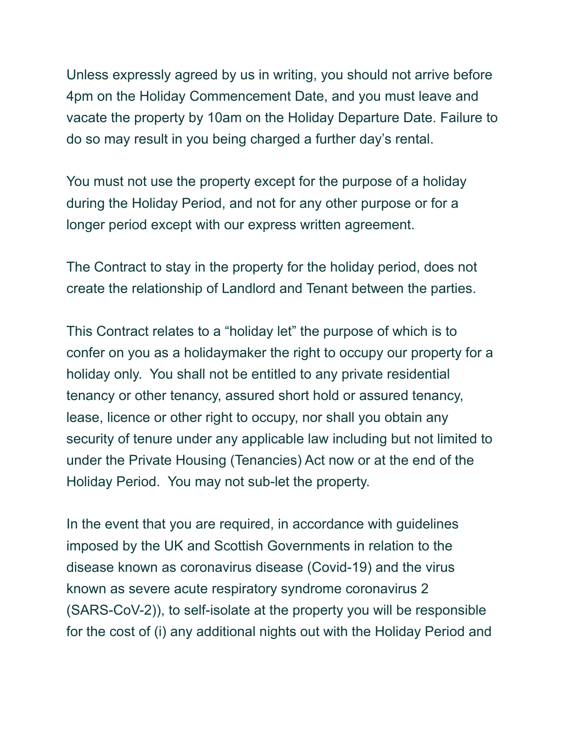Unless expressly agreed by us in writing, you should not arrive before 4pm on the Holiday Commencement Date, and you must leave and vacate the property by 10am on the Holiday Departure Date. Failure to do so may result in you being charged a further day's rental.

You must not use the property except for the purpose of a holiday during the Holiday Period, and not for any other purpose or for a longer period except with our express written agreement.

The Contract to stay in the property for the holiday period, does not create the relationship of Landlord and Tenant between the parties.

This Contract relates to a "holiday let" the purpose of which is to confer on you as a holidaymaker the right to occupy our property for a holiday only. You shall not be entitled to any private residential tenancy or other tenancy, assured short hold or assured tenancy, lease, licence or other right to occupy, nor shall you obtain any security of tenure under any applicable law including but not limited to under the Private Housing (Tenancies) Act now or at the end of the Holiday Period. You may not sub-let the property.

In the event that you are required, in accordance with guidelines imposed by the UK and Scottish Governments in relation to the disease known as coronavirus disease (Covid-19) and the virus known as severe acute respiratory syndrome coronavirus 2 (SARS-CoV-2)), to self-isolate at the property you will be responsible for the cost of (i) any additional nights out with the Holiday Period and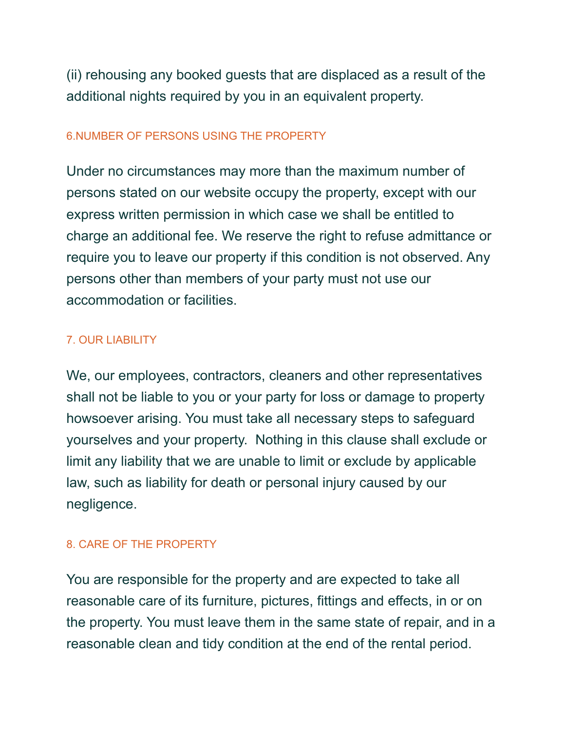(ii) rehousing any booked guests that are displaced as a result of the additional nights required by you in an equivalent property.

### 6.NUMBER OF PERSONS USING THE PROPERTY

Under no circumstances may more than the maximum number of persons stated on our website occupy the property, except with our express written permission in which case we shall be entitled to charge an additional fee. We reserve the right to refuse admittance or require you to leave our property if this condition is not observed. Any persons other than members of your party must not use our accommodation or facilities.

## 7. OUR LIABILITY

We, our employees, contractors, cleaners and other representatives shall not be liable to you or your party for loss or damage to property howsoever arising. You must take all necessary steps to safeguard yourselves and your property. Nothing in this clause shall exclude or limit any liability that we are unable to limit or exclude by applicable law, such as liability for death or personal injury caused by our negligence.

## 8. CARE OF THE PROPERTY

You are responsible for the property and are expected to take all reasonable care of its furniture, pictures, fittings and effects, in or on the property. You must leave them in the same state of repair, and in a reasonable clean and tidy condition at the end of the rental period.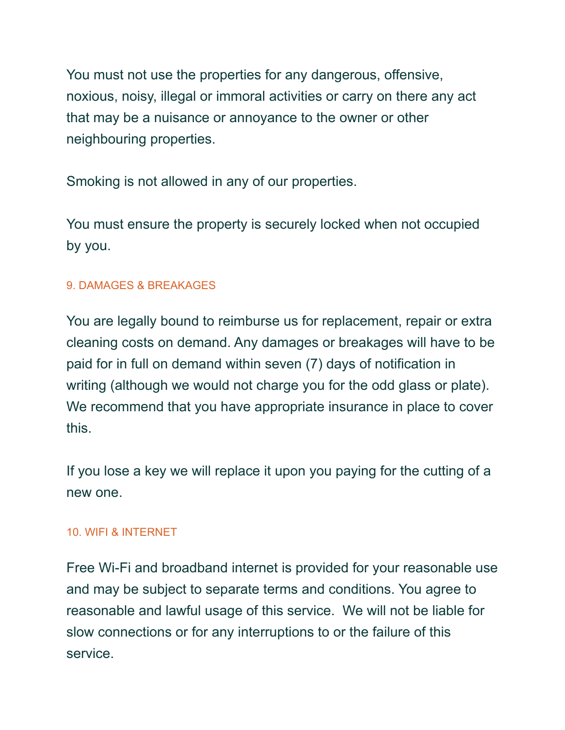You must not use the properties for any dangerous, offensive, noxious, noisy, illegal or immoral activities or carry on there any act that may be a nuisance or annoyance to the owner or other neighbouring properties.

Smoking is not allowed in any of our properties.

You must ensure the property is securely locked when not occupied by you.

## 9. DAMAGES & BREAKAGES

You are legally bound to reimburse us for replacement, repair or extra cleaning costs on demand. Any damages or breakages will have to be paid for in full on demand within seven (7) days of notification in writing (although we would not charge you for the odd glass or plate). We recommend that you have appropriate insurance in place to cover this.

If you lose a key we will replace it upon you paying for the cutting of a new one.

## 10. WIFI & INTERNET

Free Wi-Fi and broadband internet is provided for your reasonable use and may be subject to separate terms and conditions. You agree to reasonable and lawful usage of this service. We will not be liable for slow connections or for any interruptions to or the failure of this service.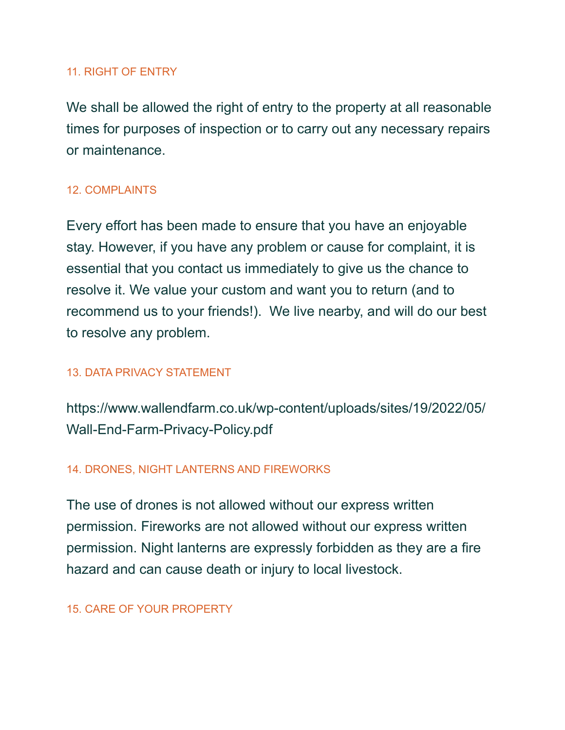#### 11. RIGHT OF ENTRY

We shall be allowed the right of entry to the property at all reasonable times for purposes of inspection or to carry out any necessary repairs or maintenance.

#### 12. COMPLAINTS

Every effort has been made to ensure that you have an enjoyable stay. However, if you have any problem or cause for complaint, it is essential that you contact us immediately to give us the chance to resolve it. We value your custom and want you to return (and to recommend us to your friends!). We live nearby, and will do our best to resolve any problem.

#### 13. DATA PRIVACY STATEMENT

https://www.wallendfarm.co.uk/wp-content/uploads/sites/19/2022/05/ Wall-End-Farm-Privacy-Policy.pdf

#### 14. DRONES, NIGHT LANTERNS AND FIREWORKS

The use of drones is not allowed without our express written permission. Fireworks are not allowed without our express written permission. Night lanterns are expressly forbidden as they are a fire hazard and can cause death or injury to local livestock.

#### 15. CARE OF YOUR PROPERTY